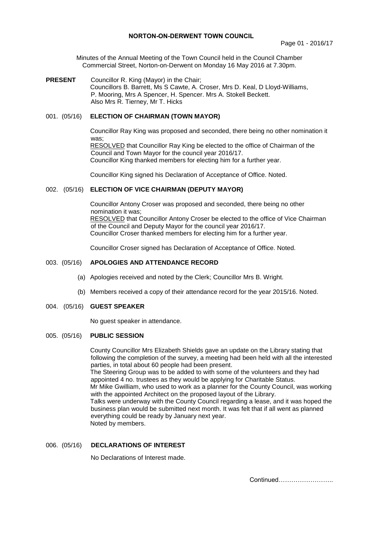## **NORTON-ON-DERWENT TOWN COUNCIL**

Minutes of the Annual Meeting of the Town Council held in the Council Chamber Commercial Street, Norton-on-Derwent on Monday 16 May 2016 at 7.30pm.

**PRESENT** Councillor R. King (Mayor) in the Chair; Councillors B. Barrett, Ms S Cawte, A. Croser, Mrs D. Keal, D Lloyd-Williams, P. Mooring, Mrs A Spencer, H. Spencer. Mrs A. Stokell Beckett. Also Mrs R. Tierney, Mr T. Hicks

# 001. (05/16) **ELECTION OF CHAIRMAN (TOWN MAYOR)**

Councillor Ray King was proposed and seconded, there being no other nomination it was; RESOLVED that Councillor Ray King be elected to the office of Chairman of the Council and Town Mayor for the council year 2016/17.

Councillor King thanked members for electing him for a further year.

Councillor King signed his Declaration of Acceptance of Office. Noted.

# 002. (05/16) **ELECTION OF VICE CHAIRMAN (DEPUTY MAYOR)**

Councillor Antony Croser was proposed and seconded, there being no other nomination it was; RESOLVED that Councillor Antony Croser be elected to the office of Vice Chairman of the Council and Deputy Mayor for the council year 2016/17. Councillor Croser thanked members for electing him for a further year.

Councillor Croser signed has Declaration of Acceptance of Office. Noted.

# 003. (05/16) **APOLOGIES AND ATTENDANCE RECORD**

- (a) Apologies received and noted by the Clerk; Councillor Mrs B. Wright.
- (b) Members received a copy of their attendance record for the year 2015/16. Noted.
- 004. (05/16) **GUEST SPEAKER**

No guest speaker in attendance.

## 005. (05/16) **PUBLIC SESSION**

 County Councillor Mrs Elizabeth Shields gave an update on the Library stating that following the completion of the survey, a meeting had been held with all the interested parties, in total about 60 people had been present. The Steering Group was to be added to with some of the volunteers and they had appointed 4 no. trustees as they would be applying for Charitable Status. Mr Mike Gwilliam, who used to work as a planner for the County Council, was working with the appointed Architect on the proposed layout of the Library. Talks were underway with the County Council regarding a lease, and it was hoped the business plan would be submitted next month. It was felt that if all went as planned everything could be ready by January next year.

Noted by members.

### 006. (05/16) **DECLARATIONS OF INTEREST**

No Declarations of Interest made.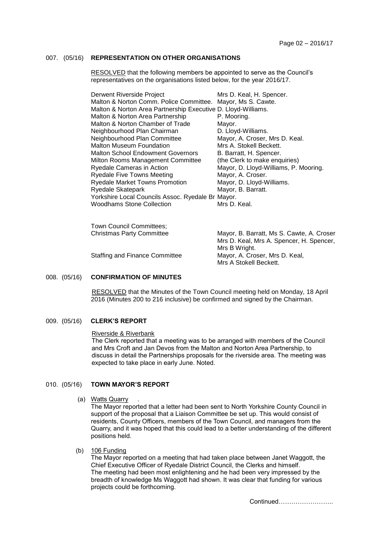# 007. (05/16) **REPRESENTATION ON OTHER ORGANISATIONS**

RESOLVED that the following members be appointed to serve as the Council's representatives on the organisations listed below, for the year 2016/17.

| Derwent Riverside Project                                     | Mrs D. Keal, H. Spencer.              |
|---------------------------------------------------------------|---------------------------------------|
| Malton & Norton Comm. Police Committee.                       | Mayor, Ms S. Cawte.                   |
| Malton & Norton Area Partnership Executive D. Lloyd-Williams. |                                       |
| Malton & Norton Area Partnership                              | P. Mooring.                           |
| Malton & Norton Chamber of Trade                              | Mayor.                                |
| Neighbourhood Plan Chairman                                   | D. Lloyd-Williams.                    |
| Neighbourhood Plan Committee                                  | Mayor, A. Croser, Mrs D. Keal.        |
| <b>Malton Museum Foundation</b>                               | Mrs A. Stokell Beckett.               |
| Malton School Endowment Governors                             | B. Barratt, H. Spencer.               |
| Milton Rooms Management Committee                             | (the Clerk to make enquiries)         |
| Ryedale Cameras in Action                                     | Mayor, D. Lloyd-Williams, P. Mooring. |
| <b>Ryedale Five Towns Meeting</b>                             | Mayor, A. Croser.                     |
| <b>Ryedale Market Towns Promotion</b>                         | Mayor, D. Lloyd-Williams.             |
| Ryedale Skatepark                                             | Mayor, B. Barratt.                    |
| Yorkshire Local Councils Assoc. Ryedale Br Mayor.             |                                       |
| <b>Woodhams Stone Collection</b>                              | Mrs D. Keal.                          |
|                                                               |                                       |

| Town Council Committees;         |                                           |
|----------------------------------|-------------------------------------------|
| <b>Christmas Party Committee</b> | Mayor, B. Barratt, Ms S. Cawte, A. Croser |
|                                  | Mrs D. Keal, Mrs A. Spencer, H. Spencer,  |
|                                  | Mrs B Wright.                             |
| Staffing and Finance Committee   | Mayor, A. Croser, Mrs D. Keal,            |
|                                  | Mrs A Stokell Beckett.                    |
|                                  |                                           |

# 008. (05/16) **CONFIRMATION OF MINUTES**

 RESOLVED that the Minutes of the Town Council meeting held on Monday, 18 April 2016 (Minutes 200 to 216 inclusive) be confirmed and signed by the Chairman.

#### 009. (05/16) **CLERK'S REPORT**

#### Riverside & Riverbank

The Clerk reported that a meeting was to be arranged with members of the Council and Mrs Croft and Jan Devos from the Malton and Norton Area Partnership, to discuss in detail the Partnerships proposals for the riverside area. The meeting was expected to take place in early June. Noted.

#### 010. (05/16) **TOWN MAYOR'S REPORT**

#### (a) Watts Quarry

The Mayor reported that a letter had been sent to North Yorkshire County Council in support of the proposal that a Liaison Committee be set up. This would consist of residents, County Officers, members of the Town Council, and managers from the Quarry, and it was hoped that this could lead to a better understanding of the different positions held.

(b) 106 Funding

The Mayor reported on a meeting that had taken place between Janet Waggott, the Chief Executive Officer of Ryedale District Council, the Clerks and himself. The meeting had been most enlightening and he had been very impressed by the breadth of knowledge Ms Waggott had shown. It was clear that funding for various projects could be forthcoming.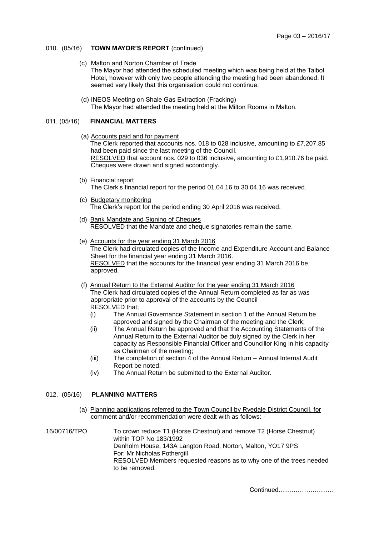# 010. (05/16) **TOWN MAYOR'S REPORT** (continued)

- (c) Malton and Norton Chamber of Trade The Mayor had attended the scheduled meeting which was being held at the Talbot Hotel, however with only two people attending the meeting had been abandoned. It seemed very likely that this organisation could not continue.
- (d) INEOS Meeting on Shale Gas Extraction (Fracking) The Mayor had attended the meeting held at the Milton Rooms in Malton.

# 011. (05/16) **FINANCIAL MATTERS**

- (a) Accounts paid and for payment The Clerk reported that accounts nos. 018 to 028 inclusive, amounting to £7,207.85 had been paid since the last meeting of the Council. RESOLVED that account nos. 029 to 036 inclusive, amounting to £1,910.76 be paid. Cheques were drawn and signed accordingly.
- (b) Financial report The Clerk's financial report for the period 01.04.16 to 30.04.16 was received.
- (c) Budgetary monitoring The Clerk's report for the period ending 30 April 2016 was received.
- (d) Bank Mandate and Signing of Cheques RESOLVED that the Mandate and cheque signatories remain the same.
- (e) Accounts for the year ending 31 March 2016 The Clerk had circulated copies of the Income and Expenditure Account and Balance Sheet for the financial year ending 31 March 2016. RESOLVED that the accounts for the financial year ending 31 March 2016 be approved.
- (f) Annual Return to the External Auditor for the year ending 31 March 2016 The Clerk had circulated copies of the Annual Return completed as far as was appropriate prior to approval of the accounts by the Council RESOLVED that;
	- (i) The Annual Governance Statement in section 1 of the Annual Return be approved and signed by the Chairman of the meeting and the Clerk;
	- (ii) The Annual Return be approved and that the Accounting Statements of the Annual Return to the External Auditor be duly signed by the Clerk in her capacity as Responsible Financial Officer and Councillor King in his capacity as Chairman of the meeting;
	- (iii) The completion of section 4 of the Annual Return Annual Internal Audit Report be noted;
	- (iv) The Annual Return be submitted to the External Auditor.

### 012. (05/16) **PLANNING MATTERS**

(a) Planning applications referred to the Town Council by Ryedale District Council, for comment and/or recommendation were dealt with as follows: -

16/00716/TPO To crown reduce T1 (Horse Chestnut) and remove T2 (Horse Chestnut) within TOP No 183/1992 Denholm House, 143A Langton Road, Norton, Malton, YO17 9PS For: Mr Nicholas Fothergill RESOLVED Members requested reasons as to why one of the trees needed to be removed.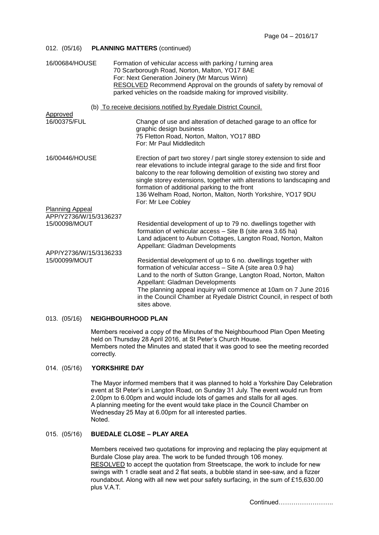| 012. (05/16)                                                   | <b>PLANNING MATTERS (continued)</b>                                                                                                                                                                                                                                                                                                                                                                                                   |
|----------------------------------------------------------------|---------------------------------------------------------------------------------------------------------------------------------------------------------------------------------------------------------------------------------------------------------------------------------------------------------------------------------------------------------------------------------------------------------------------------------------|
| 16/00684/HOUSE                                                 | Formation of vehicular access with parking / turning area<br>70 Scarborough Road, Norton, Malton, YO17 8AE<br>For: Next Generation Joinery (Mr Marcus Winn)<br>RESOLVED Recommend Approval on the grounds of safety by removal of<br>parked vehicles on the roadside making for improved visibility.                                                                                                                                  |
| (b) To receive decisions notified by Ryedale District Council. |                                                                                                                                                                                                                                                                                                                                                                                                                                       |
| Approved<br>16/00375/FUL                                       | Change of use and alteration of detached garage to an office for<br>graphic design business<br>75 Fletton Road, Norton, Malton, YO17 8BD<br>For: Mr Paul Middleditch                                                                                                                                                                                                                                                                  |
| 16/00446/HOUSE                                                 | Erection of part two storey / part single storey extension to side and<br>rear elevations to include integral garage to the side and first floor<br>balcony to the rear following demolition of existing two storey and<br>single storey extensions, together with alterations to landscaping and<br>formation of additional parking to the front<br>136 Welham Road, Norton, Malton, North Yorkshire, YO17 9DU<br>For: Mr Lee Cobley |
| <b>Planning Appeal</b>                                         |                                                                                                                                                                                                                                                                                                                                                                                                                                       |
| APP/Y2736/W/15/3136237<br>15/00098/MOUT                        | Residential development of up to 79 no. dwellings together with<br>formation of vehicular access - Site B (site area 3.65 ha)<br>Land adjacent to Auburn Cottages, Langton Road, Norton, Malton<br>Appellant: Gladman Developments                                                                                                                                                                                                    |
| APP/Y2736/W/15/3136233<br>15/00099/MOUT                        | Residential development of up to 6 no. dwellings together with<br>formation of vehicular access - Site A (site area 0.9 ha)<br>Land to the north of Sutton Grange, Langton Road, Norton, Malton<br>Appellant: Gladman Developments<br>The planning appeal inquiry will commence at 10am on 7 June 2016<br>in the Council Chamber at Ryedale District Council, in respect of both<br>sites above.                                      |

# 013. (05/16) **NEIGHBOURHOOD PLAN**

Members received a copy of the Minutes of the Neighbourhood Plan Open Meeting held on Thursday 28 April 2016, at St Peter's Church House. Members noted the Minutes and stated that it was good to see the meeting recorded correctly.

# 014. (05/16) **YORKSHIRE DAY**

The Mayor informed members that it was planned to hold a Yorkshire Day Celebration event at St Peter's in Langton Road, on Sunday 31 July. The event would run from 2.00pm to 6.00pm and would include lots of games and stalls for all ages. A planning meeting for the event would take place in the Council Chamber on Wednesday 25 May at 6.00pm for all interested parties. Noted.

# 015. (05/16) **BUEDALE CLOSE – PLAY AREA**

Members received two quotations for improving and replacing the play equipment at Burdale Close play area. The work to be funded through 106 money. RESOLVED to accept the quotation from Streetscape, the work to include for new swings with 1 cradle seat and 2 flat seats, a bubble stand in see-saw, and a fizzer roundabout. Along with all new wet pour safety surfacing, in the sum of £15,630.00 plus V.A.T.